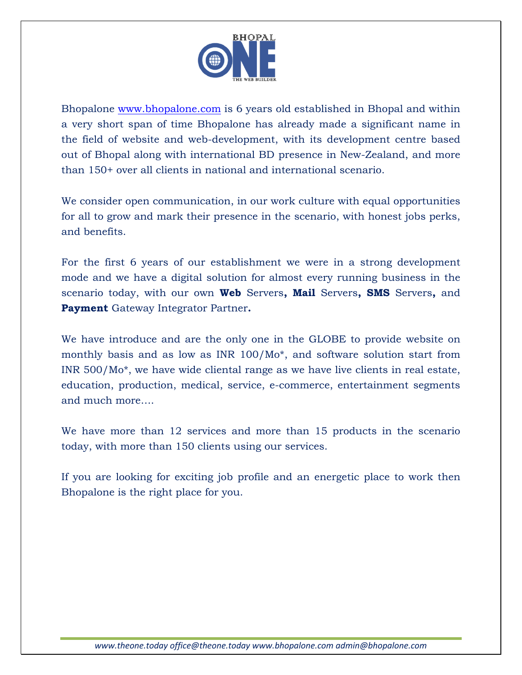

I

Bhopalone [www.bhopalone.com](http://www.bhopalone.com/) is 6 years old established in Bhopal and within a very short span of time Bhopalone has already made a significant name in the field of website and web-development, with its development centre based out of Bhopal along with international BD presence in New-Zealand, and more than 150+ over all clients in national and international scenario.

We consider open communication, in our work culture with equal opportunities for all to grow and mark their presence in the scenario, with honest jobs perks, and benefits.

For the first 6 years of our establishment we were in a strong development mode and we have a digital solution for almost every running business in the scenario today, with our own **Web** Servers**, Mail** Servers**, SMS** Servers**,** and **Payment** Gateway Integrator Partner**.**

We have introduce and are the only one in the GLOBE to provide website on monthly basis and as low as INR 100/Mo\*, and software solution start from INR 500/Mo\*, we have wide cliental range as we have live clients in real estate, education, production, medical, service, e-commerce, entertainment segments and much more….

We have more than 12 services and more than 15 products in the scenario today, with more than 150 clients using our services.

If you are looking for exciting job profile and an energetic place to work then Bhopalone is the right place for you.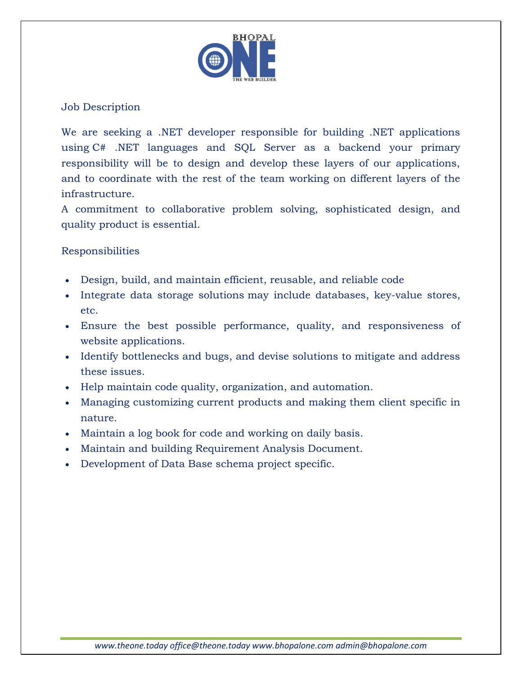

## Job Description

I

We are seeking a .NET developer responsible for building .NET applications using C# .NET languages and SQL Server as a backend your primary responsibility will be to design and develop these layers of our applications, and to coordinate with the rest of the team working on different layers of the infrastructure.

A commitment to collaborative problem solving, sophisticated design, and quality product is essential.

## Responsibilities

- Design, build, and maintain efficient, reusable, and reliable code
- Integrate data storage solutions may include databases, key-value stores, etc.
- Ensure the best possible performance, quality, and responsiveness of website applications.
- Identify bottlenecks and bugs, and devise solutions to mitigate and address these issues.
- Help maintain code quality, organization, and automation.
- Managing customizing current products and making them client specific in nature.
- Maintain a log book for code and working on daily basis.
- Maintain and building Requirement Analysis Document.
- Development of Data Base schema project specific.